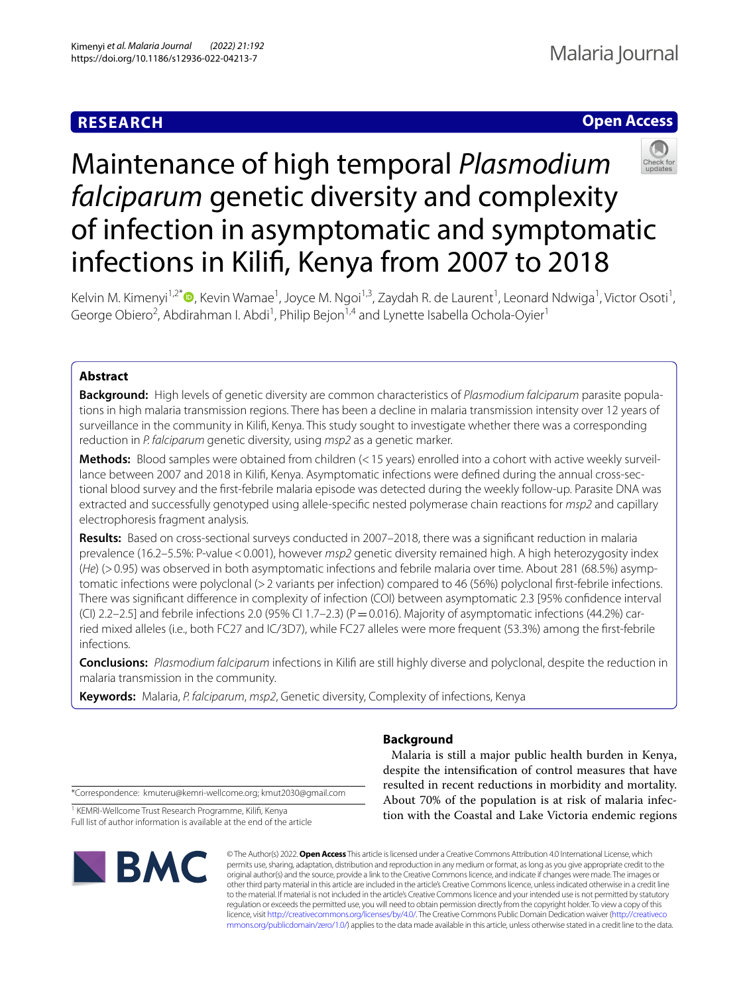# **RESEARCH**

# **Open Access**



# Maintenance of high temporal *Plasmodium falciparum* genetic diversity and complexity of infection in asymptomatic and symptomatic infections in Kilif, Kenya from 2007 to 2018

Kelvin M. Kimenyi<sup>1,2[\\*](http://orcid.org/0000-0002-7157-1041)</sup>®, Kevin Wamae<sup>1</sup>, Joyce M. Ngoi<sup>1,3</sup>, Zaydah R. de Laurent<sup>1</sup>, Leonard Ndwiga<sup>1</sup>, Victor Osoti<sup>1</sup>, George Obiero<sup>2</sup>, Abdirahman I. Abdi<sup>1</sup>, Philip Bejon<sup>1,4</sup> and Lynette Isabella Ochola-Oyier<sup>1</sup>

## **Abstract**

**Background:** High levels of genetic diversity are common characteristics of *Plasmodium falciparum* parasite popula‑ tions in high malaria transmission regions. There has been a decline in malaria transmission intensity over 12 years of surveillance in the community in Kilif, Kenya. This study sought to investigate whether there was a corresponding reduction in *P. falciparum* genetic diversity, using *msp2* as a genetic marker.

Methods: Blood samples were obtained from children (< 15 years) enrolled into a cohort with active weekly surveillance between 2007 and 2018 in Kilifi, Kenya. Asymptomatic infections were defined during the annual cross-sectional blood survey and the frst-febrile malaria episode was detected during the weekly follow-up. Parasite DNA was extracted and successfully genotyped using allele-specifc nested polymerase chain reactions for *msp2* and capillary electrophoresis fragment analysis.

**Results:** Based on cross-sectional surveys conducted in 2007–2018, there was a signifcant reduction in malaria prevalence (16.2–5.5%: P-value < 0.001), however  $msp2$  genetic diversity remained high. A high heterozygosity index (*He*) (>0.95) was observed in both asymptomatic infections and febrile malaria over time. About 281 (68.5%) asymptomatic infections were polyclonal (>2 variants per infection) compared to 46 (56%) polyclonal frst-febrile infections. There was signifcant diference in complexity of infection (COI) between asymptomatic 2.3 [95% confdence interval (CI) 2.2–2.5] and febrile infections 2.0 (95% CI 1.7–2.3) ( $P = 0.016$ ). Majority of asymptomatic infections (44.2%) carried mixed alleles (i.e., both FC27 and IC/3D7), while FC27 alleles were more frequent (53.3%) among the frst-febrile infections.

**Conclusions:** *Plasmodium falciparum* infections in Kilif are still highly diverse and polyclonal, despite the reduction in malaria transmission in the community.

**Keywords:** Malaria, *P. falciparum*, *msp2*, Genetic diversity, Complexity of infections, Kenya

### **Background**

 Malaria is still a major public health burden in Kenya, despite the intensifcation of control measures that have resulted in recent reductions in morbidity and mortality. About 70% of the population is at risk of malaria infection with the Coastal and Lake Victoria endemic regions

\*Correspondence: kmuteru@kemri-wellcome.org; kmut2030@gmail.com

<sup>1</sup> KEMRI-Wellcome Trust Research Programme, Kilifi, Kenya Full list of author information is available at the end of the article



© The Author(s) 2022. **Open Access** This article is licensed under a Creative Commons Attribution 4.0 International License, which permits use, sharing, adaptation, distribution and reproduction in any medium or format, as long as you give appropriate credit to the original author(s) and the source, provide a link to the Creative Commons licence, and indicate if changes were made. The images or other third party material in this article are included in the article's Creative Commons licence, unless indicated otherwise in a credit line to the material. If material is not included in the article's Creative Commons licence and your intended use is not permitted by statutory regulation or exceeds the permitted use, you will need to obtain permission directly from the copyright holder. To view a copy of this licence, visit [http://creativecommons.org/licenses/by/4.0/.](http://creativecommons.org/licenses/by/4.0/) The Creative Commons Public Domain Dedication waiver ([http://creativeco](http://creativecommons.org/publicdomain/zero/1.0/) [mmons.org/publicdomain/zero/1.0/](http://creativecommons.org/publicdomain/zero/1.0/)) applies to the data made available in this article, unless otherwise stated in a credit line to the data.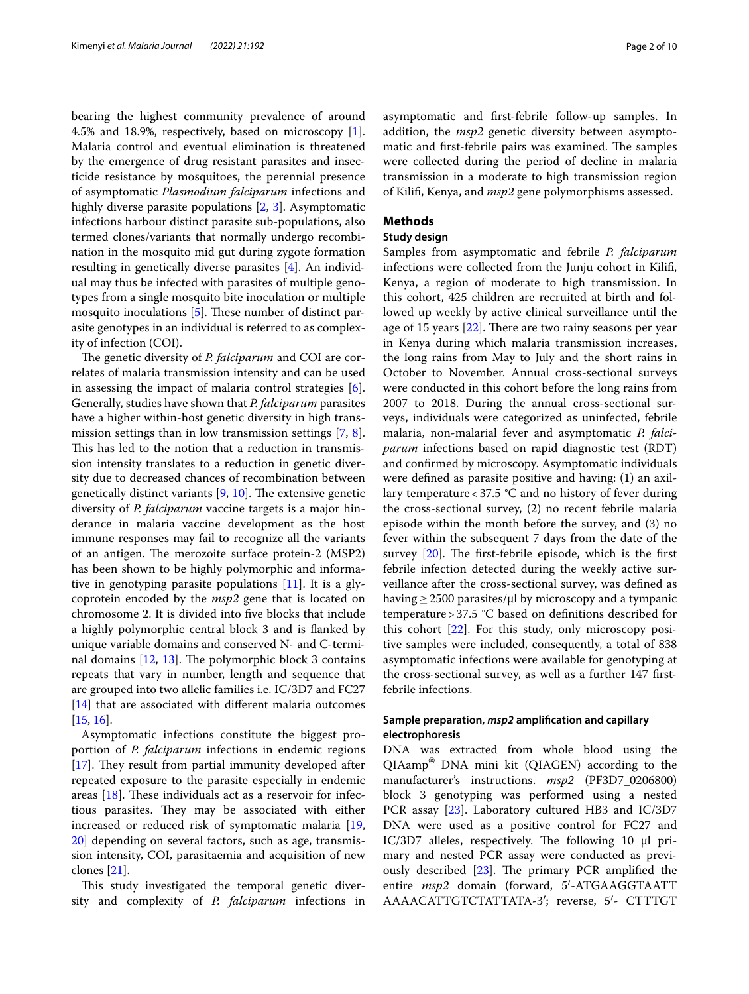bearing the highest community prevalence of around 4.5% and 18.9%, respectively, based on microscopy [\[1](#page-8-0)]. Malaria control and eventual elimination is threatened by the emergence of drug resistant parasites and insecticide resistance by mosquitoes, the perennial presence of asymptomatic *Plasmodium falciparum* infections and highly diverse parasite populations [[2,](#page-8-1) [3\]](#page-8-2). Asymptomatic infections harbour distinct parasite sub-populations, also termed clones/variants that normally undergo recombination in the mosquito mid gut during zygote formation resulting in genetically diverse parasites [\[4\]](#page-8-3). An individual may thus be infected with parasites of multiple genotypes from a single mosquito bite inoculation or multiple mosquito inoculations  $[5]$  $[5]$ . These number of distinct parasite genotypes in an individual is referred to as complexity of infection (COI).

The genetic diversity of *P. falciparum* and COI are correlates of malaria transmission intensity and can be used in assessing the impact of malaria control strategies [\[6](#page-8-5)]. Generally, studies have shown that *P. falciparum* parasites have a higher within-host genetic diversity in high transmission settings than in low transmission settings [[7,](#page-8-6) [8](#page-8-7)]. This has led to the notion that a reduction in transmission intensity translates to a reduction in genetic diversity due to decreased chances of recombination between genetically distinct variants  $[9, 10]$  $[9, 10]$  $[9, 10]$  $[9, 10]$ . The extensive genetic diversity of *P. falciparum* vaccine targets is a major hinderance in malaria vaccine development as the host immune responses may fail to recognize all the variants of an antigen. The merozoite surface protein-2 (MSP2) has been shown to be highly polymorphic and informative in genotyping parasite populations [[11\]](#page-8-10). It is a glycoprotein encoded by the *msp2* gene that is located on chromosome 2. It is divided into fve blocks that include a highly polymorphic central block 3 and is fanked by unique variable domains and conserved N- and C-terminal domains  $[12, 13]$  $[12, 13]$  $[12, 13]$  $[12, 13]$  $[12, 13]$ . The polymorphic block 3 contains repeats that vary in number, length and sequence that are grouped into two allelic families i.e. IC/3D7 and FC27 [[14\]](#page-8-13) that are associated with different malaria outcomes [[15,](#page-8-14) [16](#page-8-15)].

Asymptomatic infections constitute the biggest proportion of *P. falciparum* infections in endemic regions  $[17]$  $[17]$ . They result from partial immunity developed after repeated exposure to the parasite especially in endemic areas  $[18]$  $[18]$ . These individuals act as a reservoir for infectious parasites. They may be associated with either increased or reduced risk of symptomatic malaria [\[19](#page-8-18), [20\]](#page-8-19) depending on several factors, such as age, transmission intensity, COI, parasitaemia and acquisition of new clones [\[21\]](#page-8-20).

This study investigated the temporal genetic diversity and complexity of *P. falciparum* infections in asymptomatic and frst-febrile follow-up samples. In addition, the *msp2* genetic diversity between asymptomatic and first-febrile pairs was examined. The samples were collected during the period of decline in malaria transmission in a moderate to high transmission region of Kilif, Kenya, and *msp2* gene polymorphisms assessed.

#### **Methods**

#### **Study design**

Samples from asymptomatic and febrile *P. falciparum* infections were collected from the Junju cohort in Kilif, Kenya, a region of moderate to high transmission. In this cohort, 425 children are recruited at birth and followed up weekly by active clinical surveillance until the age of 15 years  $[22]$  $[22]$ . There are two rainy seasons per year in Kenya during which malaria transmission increases, the long rains from May to July and the short rains in October to November. Annual cross-sectional surveys were conducted in this cohort before the long rains from 2007 to 2018. During the annual cross-sectional surveys, individuals were categorized as uninfected, febrile malaria, non-malarial fever and asymptomatic *P. falciparum* infections based on rapid diagnostic test (RDT) and confrmed by microscopy. Asymptomatic individuals were defned as parasite positive and having: (1) an axillary temperature<37.5 °C and no history of fever during the cross-sectional survey, (2) no recent febrile malaria episode within the month before the survey, and (3) no fever within the subsequent 7 days from the date of the survey  $[20]$ . The first-febrile episode, which is the first febrile infection detected during the weekly active surveillance after the cross-sectional survey, was defned as having  $\geq$  2500 parasites/µl by microscopy and a tympanic temperature>37.5 °C based on defnitions described for this cohort [[22\]](#page-8-21). For this study, only microscopy positive samples were included, consequently, a total of 838 asymptomatic infections were available for genotyping at the cross-sectional survey, as well as a further 147 frstfebrile infections.

#### **Sample preparation,** *msp2* **amplifcation and capillary electrophoresis**

DNA was extracted from whole blood using the QIAamp® DNA mini kit (QIAGEN) according to the manufacturer's instructions. *msp2* (PF3D7\_0206800) block 3 genotyping was performed using a nested PCR assay [[23](#page-8-22)]. Laboratory cultured HB3 and IC/3D7 DNA were used as a positive control for FC27 and  $IC/3D7$  alleles, respectively. The following 10  $\mu$ l primary and nested PCR assay were conducted as previously described  $[23]$  $[23]$ . The primary PCR amplified the entire *msp2* domain (forward, 5′-ATGAAGGTAATT AAAACATTGTCTATTATA-3′; reverse, 5′- CTTTGT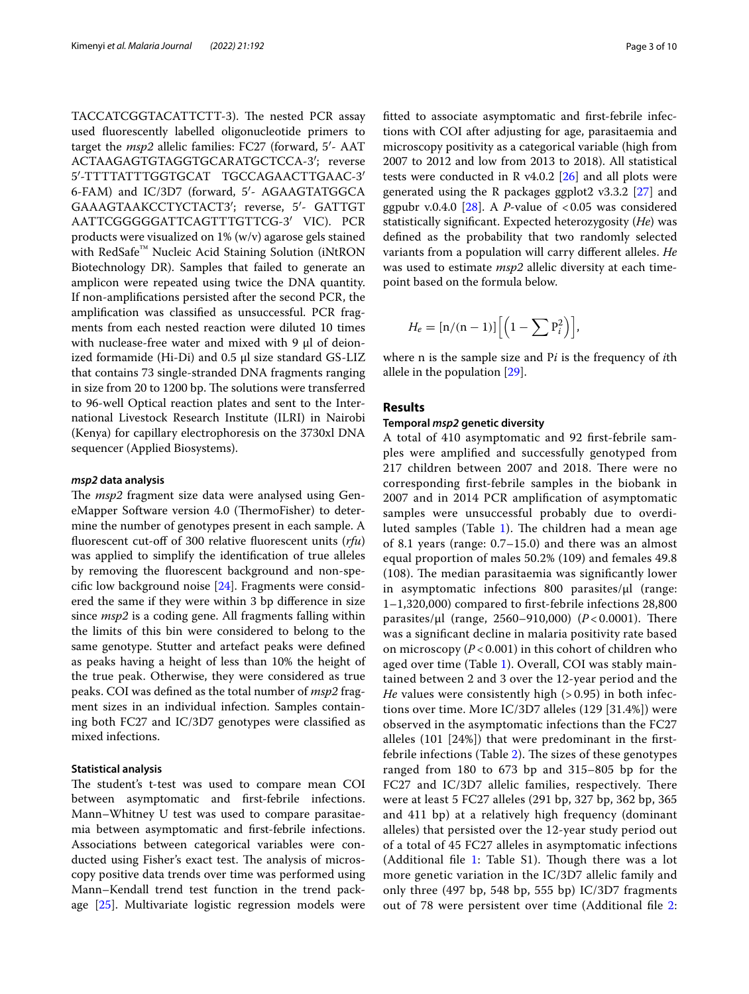TACCATCGGTACATTCTT-3). The nested PCR assay used fuorescently labelled oligonucleotide primers to target the *msp2* allelic families: FC27 (forward, 5′- AAT ACTAAGAGTGTAGGTGCARATGCTCCA-3′; reverse 5′-TTTTATTTGGTGCAT TGCCAGAACTTGAAC-3′ 6-FAM) and IC/3D7 (forward, 5′- AGAAGTATGGCA GAAAGTAAKCCTYCTACT3′; reverse, 5′- GATTGT AATTCGGGGGATTCAGTTTGTTCG-3′ VIC). PCR products were visualized on 1% (w/v) agarose gels stained with RedSafe<sup>™</sup> Nucleic Acid Staining Solution (iNtRON Biotechnology DR). Samples that failed to generate an amplicon were repeated using twice the DNA quantity. If non-amplifcations persisted after the second PCR, the amplifcation was classifed as unsuccessful. PCR fragments from each nested reaction were diluted 10 times with nuclease-free water and mixed with  $9 \mu$  of deionized formamide (Hi-Di) and 0.5 µl size standard GS-LIZ that contains 73 single-stranded DNA fragments ranging in size from 20 to 1200 bp. The solutions were transferred to 96-well Optical reaction plates and sent to the International Livestock Research Institute (ILRI) in Nairobi (Kenya) for capillary electrophoresis on the 3730xl DNA sequencer (Applied Biosystems).

#### *msp2* **data analysis**

The *msp2* fragment size data were analysed using GeneMapper Software version 4.0 (ThermoFisher) to determine the number of genotypes present in each sample. A fluorescent cut-off of 300 relative fluorescent units (rfu) was applied to simplify the identifcation of true alleles by removing the fuorescent background and non-specifc low background noise [\[24](#page-8-23)]. Fragments were considered the same if they were within 3 bp diference in size since *msp2* is a coding gene. All fragments falling within the limits of this bin were considered to belong to the same genotype. Stutter and artefact peaks were defned as peaks having a height of less than 10% the height of the true peak. Otherwise, they were considered as true peaks. COI was defned as the total number of *msp2* fragment sizes in an individual infection. Samples containing both FC27 and IC/3D7 genotypes were classifed as mixed infections.

#### **Statistical analysis**

The student's t-test was used to compare mean COI between asymptomatic and frst-febrile infections. Mann–Whitney U test was used to compare parasitaemia between asymptomatic and frst-febrile infections. Associations between categorical variables were conducted using Fisher's exact test. The analysis of microscopy positive data trends over time was performed using Mann–Kendall trend test function in the trend package [[25](#page-8-24)]. Multivariate logistic regression models were ftted to associate asymptomatic and frst-febrile infections with COI after adjusting for age, parasitaemia and microscopy positivity as a categorical variable (high from 2007 to 2012 and low from 2013 to 2018). All statistical tests were conducted in R v4.0.2  $[26]$  $[26]$  $[26]$  and all plots were generated using the R packages ggplot2 v3.3.2 [[27](#page-8-26)] and ggpubr v.0.4.0  $[28]$  $[28]$ . A *P*-value of <0.05 was considered statistically signifcant. Expected heterozygosity (*He*) was defned as the probability that two randomly selected variants from a population will carry diferent alleles. *He* was used to estimate *msp2* allelic diversity at each timepoint based on the formula below.

$$
H_e = \left[ \frac{n}{(n-1)} \right] \left[ \left( 1 - \sum P_i^2 \right) \right],
$$

where n is the sample size and P*i* is the frequency of *i*th allele in the population [[29\]](#page-8-28).

#### **Results**

#### **Temporal** *msp2* **genetic diversity**

A total of 410 asymptomatic and 92 frst-febrile samples were amplifed and successfully genotyped from 217 children between 2007 and 2018. There were no corresponding frst-febrile samples in the biobank in 2007 and in 2014 PCR amplifcation of asymptomatic samples were unsuccessful probably due to overdi-luted samples (Table [1\)](#page-3-0). The children had a mean age of 8.1 years (range: 0.7–15.0) and there was an almost equal proportion of males 50.2% (109) and females 49.8  $(108)$ . The median parasitaemia was significantly lower in asymptomatic infections 800 parasites/µl (range: 1–1,320,000) compared to frst-febrile infections 28,800 parasites/µl (range, 2560–910,000) (*P* < 0.0001). There was a signifcant decline in malaria positivity rate based on microscopy (*P* < 0.001) in this cohort of children who aged over time (Table [1](#page-3-0)). Overall, COI was stably maintained between 2 and 3 over the 12-year period and the *He* values were consistently high (> 0.95) in both infections over time. More IC/3D7 alleles (129 [31.4%]) were observed in the asymptomatic infections than the FC27 alleles (101 [24%]) that were predominant in the frst-febrile infections (Table [2](#page-4-0)). The sizes of these genotypes ranged from 180 to 673 bp and 315–805 bp for the FC27 and IC/3D7 allelic families, respectively. There were at least 5 FC27 alleles (291 bp, 327 bp, 362 bp, 365 and 411 bp) at a relatively high frequency (dominant alleles) that persisted over the 12-year study period out of a total of 45 FC27 alleles in asymptomatic infections (Additional file [1:](#page-7-0) Table  $S1$ ). Though there was a lot more genetic variation in the IC/3D7 allelic family and only three (497 bp, 548 bp, 555 bp) IC/3D7 fragments out of 78 were persistent over time (Additional fle [2](#page-7-1):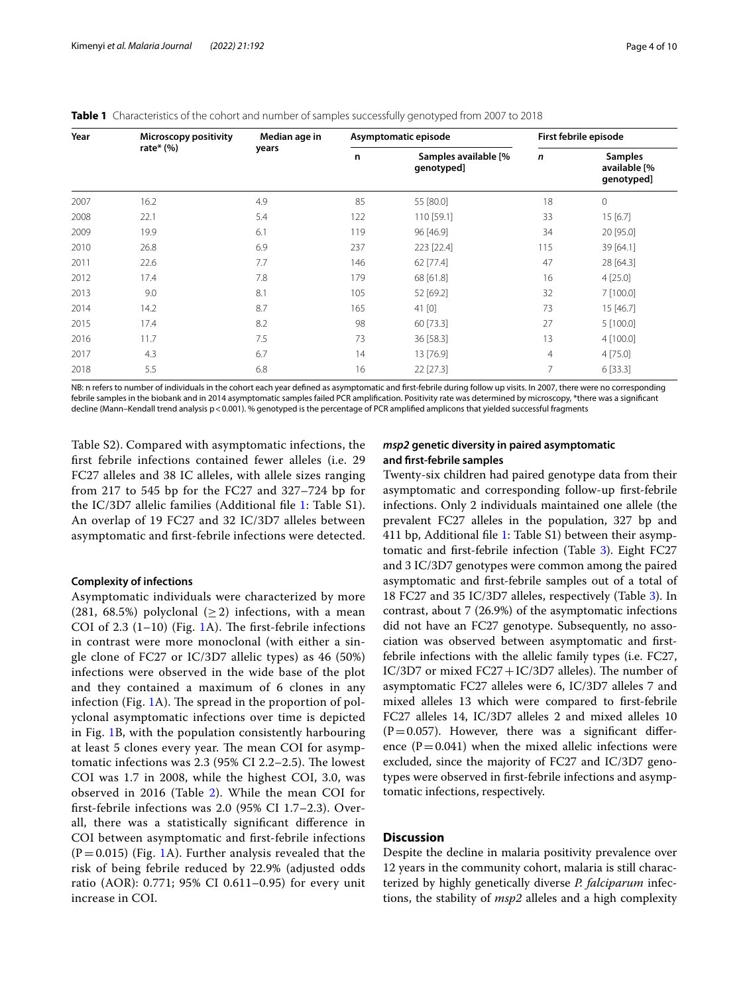<span id="page-3-0"></span>

| Year | <b>Microscopy positivity</b> | Median age in |     | Asymptomatic episode               | First febrile episode |                                              |  |
|------|------------------------------|---------------|-----|------------------------------------|-----------------------|----------------------------------------------|--|
|      | rate $*(\%)$                 | years         | n   | Samples available [%<br>genotyped] | $\mathsf{n}$          | <b>Samples</b><br>available [%<br>genotyped] |  |
| 2007 | 16.2                         | 4.9           | 85  | 55 [80.0]                          | 18                    | $\mathbf{0}$                                 |  |
| 2008 | 22.1                         | 5.4           | 122 | 110 [59.1]                         | 33                    | 15[6.7]                                      |  |
| 2009 | 19.9                         | 6.1           | 119 | 96 [46.9]                          | 34                    | 20 [95.0]                                    |  |
| 2010 | 26.8                         | 6.9           | 237 | 223 [22.4]                         | 115                   | 39 [64.1]                                    |  |
| 2011 | 22.6                         | 7.7           | 146 | 62 [77.4]                          | 47                    | 28 [64.3]                                    |  |
| 2012 | 17.4                         | 7.8           | 179 | 68 [61.8]                          | 16                    | 4[25.0]                                      |  |
| 2013 | 9.0                          | 8.1           | 105 | 52 [69.2]                          | 32                    | $7$ [100.0]                                  |  |
| 2014 | 14.2                         | 8.7           | 165 | 41 [0]                             | 73                    | 15 [46.7]                                    |  |
| 2015 | 17.4                         | 8.2           | 98  | 60 [73.3]                          | 27                    | 5 [100.0]                                    |  |
| 2016 | 11.7                         | 7.5           | 73  | 36 [58.3]                          | 13                    | 4 [100.0]                                    |  |
| 2017 | 4.3                          | 6.7           | 14  | 13 [76.9]                          | 4                     | 4 [75.0]                                     |  |
| 2018 | 5.5                          | 6.8           | 16  | 22 [27.3]                          | 7                     | 6 [33.3]                                     |  |

NB: n refers to number of individuals in the cohort each year defined as asymptomatic and first-febrile during follow up visits. In 2007, there were no corresponding febrile samples in the biobank and in 2014 asymptomatic samples failed PCR amplifcation. Positivity rate was determined by microscopy, \*there was a signifcant decline (Mann–Kendall trend analysis p<0.001). % genotyped is the percentage of PCR amplifed amplicons that yielded successful fragments

Table S2). Compared with asymptomatic infections, the frst febrile infections contained fewer alleles (i.e. 29 FC27 alleles and 38 IC alleles, with allele sizes ranging from 217 to 545 bp for the FC27 and 327–724 bp for the IC/3D7 allelic families (Additional fle [1](#page-7-0): Table S1). An overlap of 19 FC27 and 32 IC/3D7 alleles between asymptomatic and frst-febrile infections were detected.

#### **Complexity of infections**

Asymptomatic individuals were characterized by more (281, 68.5%) polyclonal  $(> 2)$  infections, with a mean COI of 2.3  $(1-10)$  (Fig. [1A](#page-5-0)). The first-febrile infections in contrast were more monoclonal (with either a single clone of FC27 or IC/3D7 allelic types) as 46 (50%) infections were observed in the wide base of the plot and they contained a maximum of 6 clones in any infection (Fig.  $1A$  $1A$ ). The spread in the proportion of polyclonal asymptomatic infections over time is depicted in Fig. [1](#page-5-0)B, with the population consistently harbouring at least 5 clones every year. The mean COI for asymptomatic infections was  $2.3$  (95% CI 2.2–2.5). The lowest COI was 1.7 in 2008, while the highest COI, 3.0, was observed in 2016 (Table [2\)](#page-4-0). While the mean COI for frst-febrile infections was 2.0 (95% CI 1.7–2.3). Overall, there was a statistically signifcant diference in COI between asymptomatic and frst-febrile infections  $(P=0.015)$  $(P=0.015)$  $(P=0.015)$  (Fig. 1A). Further analysis revealed that the risk of being febrile reduced by 22.9% (adjusted odds ratio (AOR): 0.771; 95% CI 0.611–0.95) for every unit increase in COI.

#### *msp2* **genetic diversity in paired asymptomatic and frst‑febrile samples**

Twenty-six children had paired genotype data from their asymptomatic and corresponding follow-up frst-febrile infections. Only 2 individuals maintained one allele (the prevalent FC27 alleles in the population, 327 bp and 411 bp, Additional fle [1:](#page-7-0) Table S1) between their asymptomatic and frst-febrile infection (Table [3](#page-6-0)). Eight FC27 and 3 IC/3D7 genotypes were common among the paired asymptomatic and frst-febrile samples out of a total of 18 FC27 and 35 IC/3D7 alleles, respectively (Table [3](#page-6-0)). In contrast, about 7 (26.9%) of the asymptomatic infections did not have an FC27 genotype. Subsequently, no association was observed between asymptomatic and frstfebrile infections with the allelic family types (i.e. FC27,  $IC/3D7$  or mixed  $FC27+IC/3D7$  alleles). The number of asymptomatic FC27 alleles were 6, IC/3D7 alleles 7 and mixed alleles 13 which were compared to frst-febrile FC27 alleles 14, IC/3D7 alleles 2 and mixed alleles 10  $(P=0.057)$ . However, there was a significant difference  $(P=0.041)$  when the mixed allelic infections were excluded, since the majority of FC27 and IC/3D7 genotypes were observed in frst-febrile infections and asymptomatic infections, respectively.

#### **Discussion**

Despite the decline in malaria positivity prevalence over 12 years in the community cohort, malaria is still characterized by highly genetically diverse *P. falciparum* infections, the stability of *msp2* alleles and a high complexity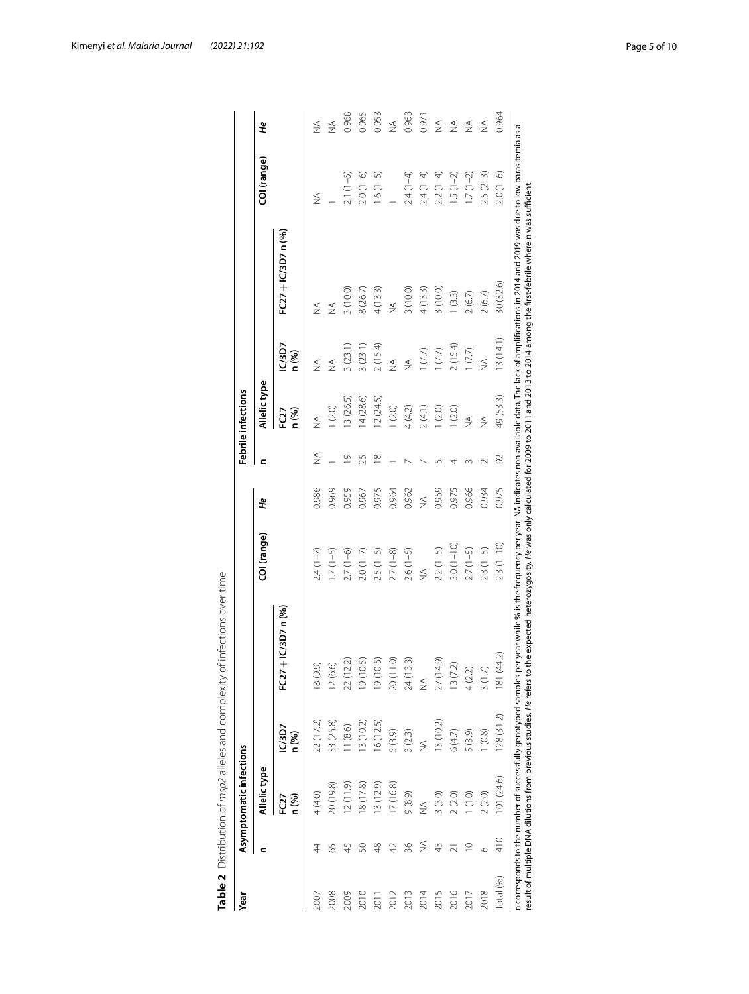| Year      |                 | Asymptomatic infections  |                 |                          |               |               |                         | Febrile infections       |                 |                   |               |               |
|-----------|-----------------|--------------------------|-----------------|--------------------------|---------------|---------------|-------------------------|--------------------------|-----------------|-------------------|---------------|---------------|
|           | ⊆               | Allelic type             |                 |                          | COI (range)   | ٩F            | $\mathbf{C}$            | Allelic type             |                 |                   | COI (range)   | ٩F            |
|           |                 | FC <sub>2</sub><br>n (%) | IC/3D7<br>n (%) | FC27+IC/3D7n(%)          |               |               |                         | n (%)<br>FC <sub>2</sub> | IC/3D7<br>n (%) | FC27+IC/3D7 n (%) |               |               |
| 2007      | 4               | 4 (4.0)                  | 22 (17.2)       | 9.9)<br>$\approx$        | $2.4(1-7)$    | 0.986         | ≸                       | $\leq$                   | $\frac{1}{2}$   | $\frac{1}{2}$     | $\frac{1}{2}$ | $\frac{1}{2}$ |
| 2008      | 55              | 20 (19.8)                | 33 (25.8)       | 6.6)<br>$\frac{12}{5}$   | $1.7(1-5)$    | 0.969         |                         | 1(2.0)                   | ⋚               | $\lessgtr$        |               | $\frac{1}{2}$ |
| 2009      | 45              | 12(11.9)                 | 11(8.6)         | (2.2)<br>$\overline{22}$ | $2.7(1-6)$    | 0.959         | ⊻                       | 13 (26.5)                | 3(23.1)         | 3(10.0)           | $2.1(1-6)$    | 0.968         |
| 2010      | S               | 18(17.8)                 | 13 (10.2)       | 0.5)<br>$\frac{1}{9}$    | $2.0(1-7)$    | 0.967         | 25                      | 14(28.6)                 | 3(23.1)         | 8(26.7)           | $2.0(1-6)$    | 0.965         |
| 201       | $\frac{8}{4}$   | 13(12.9)                 | 16(12.5)        | 0.5)<br>$\frac{1}{9}$    | $2.5(1-5)$    | 0.975         | $\frac{\infty}{\infty}$ | 12(24.5)                 | 2(15.4)         | 4(13.3)           | $1.6(1-5)$    | 0.953         |
| 2012      | $\overline{42}$ | 17(16.8)                 | 5(3.9)          | (0.1)<br>20(             | $2.7(1-8)$    | 0.964         |                         | 1(2.0)                   | $\leq$          | $\leq$            |               | ≸             |
| 2013      | 36              | 9(8.9)                   | 3(2.3)          | 3.3)<br>24(              | $2.6(1-5)$    | 0.962         |                         | $4(4.2)$                 | $\frac{1}{2}$   | 3 (10.0)          | $2.4(1-4)$    | 0.963         |
| 2014      | ≨               | $\frac{1}{2}$            | ≸               | $\frac{1}{2}$            | $\frac{1}{2}$ | $\frac{1}{2}$ |                         | 2(4.1)                   | 1(7.7)          | 4(13.3)           | $2.4(1-4)$    | 0.97          |
| 2015      | $\frac{1}{4}$   | 3(3.0)                   | 13(10.2)        | (614)<br>$\overline{27}$ | $2.2(1-5)$    | 0.959         |                         | 1(2.0)                   | (7.7)           | 3(10.0)           | $2.2(1-4)$    | $\frac{1}{2}$ |
| 2016      |                 | 2(2.0)                   | 6(4.7)          | 7.2)<br>$\frac{13}{2}$   | $3.0(1-10)$   | 0.975         |                         | 1(2.0)                   | 2(15.4)         | (3.3)             | $1.5(1-2)$    | $\frac{1}{2}$ |
| 2017      | ₽               | $\overline{1}$           | 5 (3.9)         | $\widehat{\sim}$<br>4Q   | $2.7(1-5)$    | 0.966         |                         | ≸                        | 1(7.7)          | 2(6.7)            | $1.7(1-2)$    | $\frac{4}{2}$ |
| 2018      | $\circ$         | 2(2.0)                   | 1(0.8)          | Ñ<br>$\frac{3}{1}$       | $2.3(1-5)$    | 0.934         |                         | ≸                        | ≸               | 2(6.7)            | $2.5(2-3)$    | $\frac{1}{2}$ |
| Total (%) | 410             | 101 (24.6)               | 128(31.2)       | (44.2)<br>≊              | $2.3(1 - 10)$ | 0.975         | 92                      | 49 (53.3)                | 13(14.1)        | 30 (32.6)         | $2.0(1-6)$    | 0.964         |

<span id="page-4-0"></span>

| )<br>)<br>)                                                                                 |  |
|---------------------------------------------------------------------------------------------|--|
|                                                                                             |  |
| ומ+מהרומה היות                                                                              |  |
| $\frac{1}{2}$                                                                               |  |
| J                                                                                           |  |
| $\frac{1}{2}$                                                                               |  |
|                                                                                             |  |
|                                                                                             |  |
| . Thi Thom on the San Concept Concept of The San Thi To                                     |  |
| ١                                                                                           |  |
|                                                                                             |  |
|                                                                                             |  |
|                                                                                             |  |
|                                                                                             |  |
|                                                                                             |  |
|                                                                                             |  |
|                                                                                             |  |
|                                                                                             |  |
|                                                                                             |  |
| ¢                                                                                           |  |
|                                                                                             |  |
|                                                                                             |  |
| ١                                                                                           |  |
|                                                                                             |  |
| )<br>)<br>)<br>)<br>)                                                                       |  |
|                                                                                             |  |
|                                                                                             |  |
|                                                                                             |  |
| ֪֧֧ׅ֪֪֦֧֧ׅ֧֧ׅ֧֧ׅ֧֧֧֧֛֪֧֛֪֛֛֛֛֪֛֪֛֪֛֚֚֚֚֚֚֚֚֚֚֚֚֚֬֝֘֝֘֝֝֝֬֜֝֬֝֟֝֬֝֟֝֬֜֝֓֜֓֝֬֜֓֝֬֜֓֝֬֝֬֝֬֜֝֬֜ |  |
| í                                                                                           |  |
|                                                                                             |  |
| g                                                                                           |  |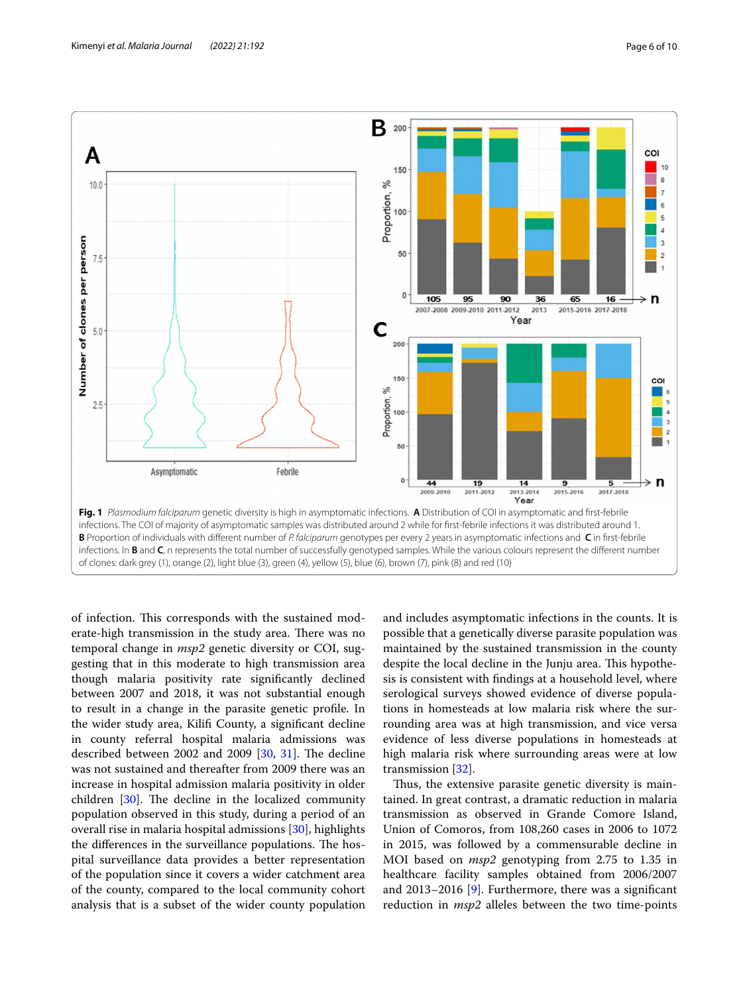

<span id="page-5-0"></span>of infection. This corresponds with the sustained moderate-high transmission in the study area. There was no temporal change in *msp2* genetic diversity or COI, suggesting that in this moderate to high transmission area though malaria positivity rate signifcantly declined between 2007 and 2018, it was not substantial enough to result in a change in the parasite genetic profle. In the wider study area, Kilif County, a signifcant decline in county referral hospital malaria admissions was described between 2002 and 2009  $[30, 31]$  $[30, 31]$  $[30, 31]$ . The decline was not sustained and thereafter from 2009 there was an increase in hospital admission malaria positivity in older children  $[30]$  $[30]$ . The decline in the localized community population observed in this study, during a period of an overall rise in malaria hospital admissions [\[30](#page-8-29)], highlights the differences in the surveillance populations. The hospital surveillance data provides a better representation of the population since it covers a wider catchment area of the county, compared to the local community cohort analysis that is a subset of the wider county population and includes asymptomatic infections in the counts. It is possible that a genetically diverse parasite population was maintained by the sustained transmission in the county despite the local decline in the Junju area. This hypothesis is consistent with fndings at a household level, where serological surveys showed evidence of diverse populations in homesteads at low malaria risk where the surrounding area was at high transmission, and vice versa evidence of less diverse populations in homesteads at high malaria risk where surrounding areas were at low transmission [[32\]](#page-8-31).

Thus, the extensive parasite genetic diversity is maintained. In great contrast, a dramatic reduction in malaria transmission as observed in Grande Comore Island, Union of Comoros, from 108,260 cases in 2006 to 1072 in 2015, was followed by a commensurable decline in MOI based on *msp2* genotyping from 2.75 to 1.35 in healthcare facility samples obtained from 2006/2007 and 2013–2016 [[9\]](#page-8-8). Furthermore, there was a signifcant reduction in *msp2* alleles between the two time-points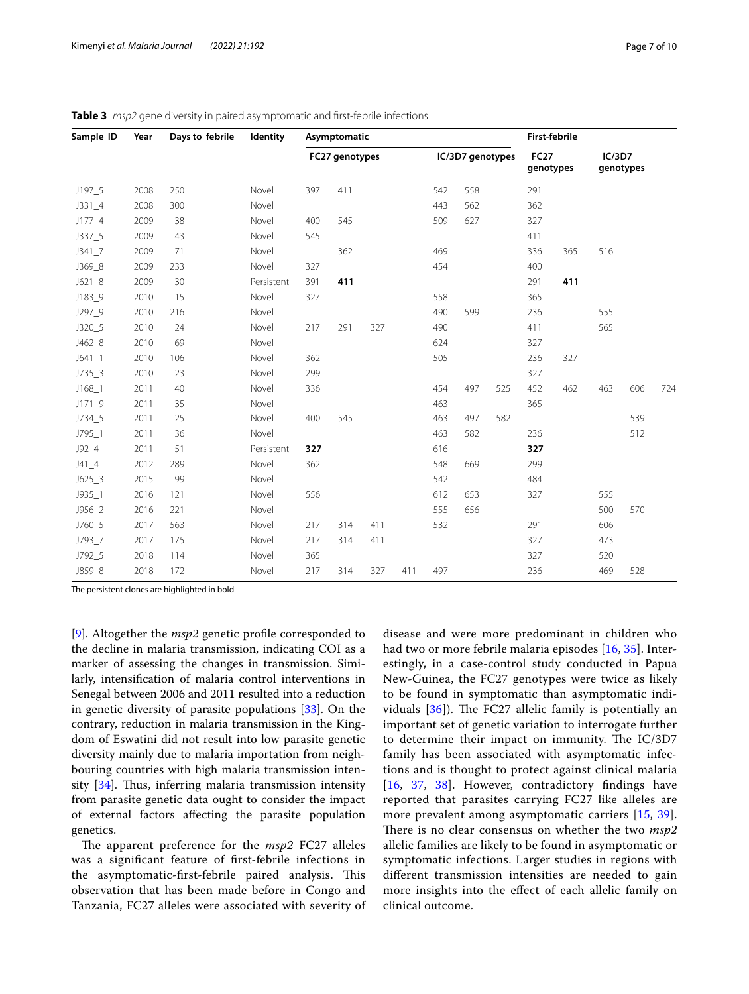| Sample ID  | Year | Days to febrile | Identity   | Asymptomatic |                |     |     |     |                  |     |                          | <b>First-febrile</b> |        |           |     |
|------------|------|-----------------|------------|--------------|----------------|-----|-----|-----|------------------|-----|--------------------------|----------------------|--------|-----------|-----|
|            |      |                 |            |              | FC27 genotypes |     |     |     | IC/3D7 genotypes |     | <b>FC27</b><br>genotypes |                      | IC/3D7 | genotypes |     |
| $J197-5$   | 2008 | 250             | Novel      | 397          | 411            |     |     | 542 | 558              |     | 291                      |                      |        |           |     |
| $J331 - 4$ | 2008 | 300             | Novel      |              |                |     |     | 443 | 562              |     | 362                      |                      |        |           |     |
| $J177\_4$  | 2009 | 38              | Novel      | 400          | 545            |     |     | 509 | 627              |     | 327                      |                      |        |           |     |
| J337_5     | 2009 | 43              | Novel      | 545          |                |     |     |     |                  |     | 411                      |                      |        |           |     |
| J341 7     | 2009 | 71              | Novel      |              | 362            |     |     | 469 |                  |     | 336                      | 365                  | 516    |           |     |
| J369_8     | 2009 | 233             | Novel      | 327          |                |     |     | 454 |                  |     | 400                      |                      |        |           |     |
| $J621_8$   | 2009 | 30              | Persistent | 391          | 411            |     |     |     |                  |     | 291                      | 411                  |        |           |     |
| J183_9     | 2010 | 15              | Novel      | 327          |                |     |     | 558 |                  |     | 365                      |                      |        |           |     |
| J297_9     | 2010 | 216             | Novel      |              |                |     |     | 490 | 599              |     | 236                      |                      | 555    |           |     |
| J320_5     | 2010 | 24              | Novel      | 217          | 291            | 327 |     | 490 |                  |     | 411                      |                      | 565    |           |     |
| J462_8     | 2010 | 69              | Novel      |              |                |     |     | 624 |                  |     | 327                      |                      |        |           |     |
| $J641 - 1$ | 2010 | 106             | Novel      | 362          |                |     |     | 505 |                  |     | 236                      | 327                  |        |           |     |
| $J735 - 3$ | 2010 | 23              | Novel      | 299          |                |     |     |     |                  |     | 327                      |                      |        |           |     |
| $J168 - 1$ | 2011 | 40              | Novel      | 336          |                |     |     | 454 | 497              | 525 | 452                      | 462                  | 463    | 606       | 724 |
| $J171 - 9$ | 2011 | 35              | Novel      |              |                |     |     | 463 |                  |     | 365                      |                      |        |           |     |
| J734_5     | 2011 | 25              | Novel      | 400          | 545            |     |     | 463 | 497              | 582 |                          |                      |        | 539       |     |
| J795_1     | 2011 | 36              | Novel      |              |                |     |     | 463 | 582              |     | 236                      |                      |        | 512       |     |
| $J92_4$    | 2011 | 51              | Persistent | 327          |                |     |     | 616 |                  |     | 327                      |                      |        |           |     |
| $J41_4$    | 2012 | 289             | Novel      | 362          |                |     |     | 548 | 669              |     | 299                      |                      |        |           |     |
| $J625-3$   | 2015 | 99              | Novel      |              |                |     |     | 542 |                  |     | 484                      |                      |        |           |     |
| $J935 - 1$ | 2016 | 121             | Novel      | 556          |                |     |     | 612 | 653              |     | 327                      |                      | 555    |           |     |
| J956_2     | 2016 | 221             | Novel      |              |                |     |     | 555 | 656              |     |                          |                      | 500    | 570       |     |
| J760_5     | 2017 | 563             | Novel      | 217          | 314            | 411 |     | 532 |                  |     | 291                      |                      | 606    |           |     |
| J793_7     | 2017 | 175             | Novel      | 217          | 314            | 411 |     |     |                  |     | 327                      |                      | 473    |           |     |
| J792_5     | 2018 | 114             | Novel      | 365          |                |     |     |     |                  |     | 327                      |                      | 520    |           |     |
| J859_8     | 2018 | 172             | Novel      | 217          | 314            | 327 | 411 | 497 |                  |     | 236                      |                      | 469    | 528       |     |

<span id="page-6-0"></span>**Table 3** *msp2* gene diversity in paired asymptomatic and frst-febrile infections

The persistent clones are highlighted in bold

[[9\]](#page-8-8). Altogether the *msp2* genetic profle corresponded to the decline in malaria transmission, indicating COI as a marker of assessing the changes in transmission. Similarly, intensifcation of malaria control interventions in Senegal between 2006 and 2011 resulted into a reduction in genetic diversity of parasite populations [\[33\]](#page-8-32). On the contrary, reduction in malaria transmission in the Kingdom of Eswatini did not result into low parasite genetic diversity mainly due to malaria importation from neighbouring countries with high malaria transmission intensity  $[34]$ . Thus, inferring malaria transmission intensity from parasite genetic data ought to consider the impact of external factors afecting the parasite population genetics.

The apparent preference for the *msp2* FC27 alleles was a signifcant feature of frst-febrile infections in the asymptomatic-first-febrile paired analysis. This observation that has been made before in Congo and Tanzania, FC27 alleles were associated with severity of disease and were more predominant in children who had two or more febrile malaria episodes [[16,](#page-8-15) [35](#page-8-34)]. Interestingly, in a case-control study conducted in Papua New-Guinea, the FC27 genotypes were twice as likely to be found in symptomatic than asymptomatic individuals  $[36]$  $[36]$ ). The FC27 allelic family is potentially an important set of genetic variation to interrogate further to determine their impact on immunity. The IC/3D7 family has been associated with asymptomatic infections and is thought to protect against clinical malaria [[16](#page-8-15), [37](#page-8-36), [38](#page-8-37)]. However, contradictory findings have reported that parasites carrying FC27 like alleles are more prevalent among asymptomatic carriers [[15](#page-8-14), [39](#page-8-38)]. There is no clear consensus on whether the two  $msp2$ allelic families are likely to be found in asymptomatic or symptomatic infections. Larger studies in regions with diferent transmission intensities are needed to gain more insights into the efect of each allelic family on clinical outcome.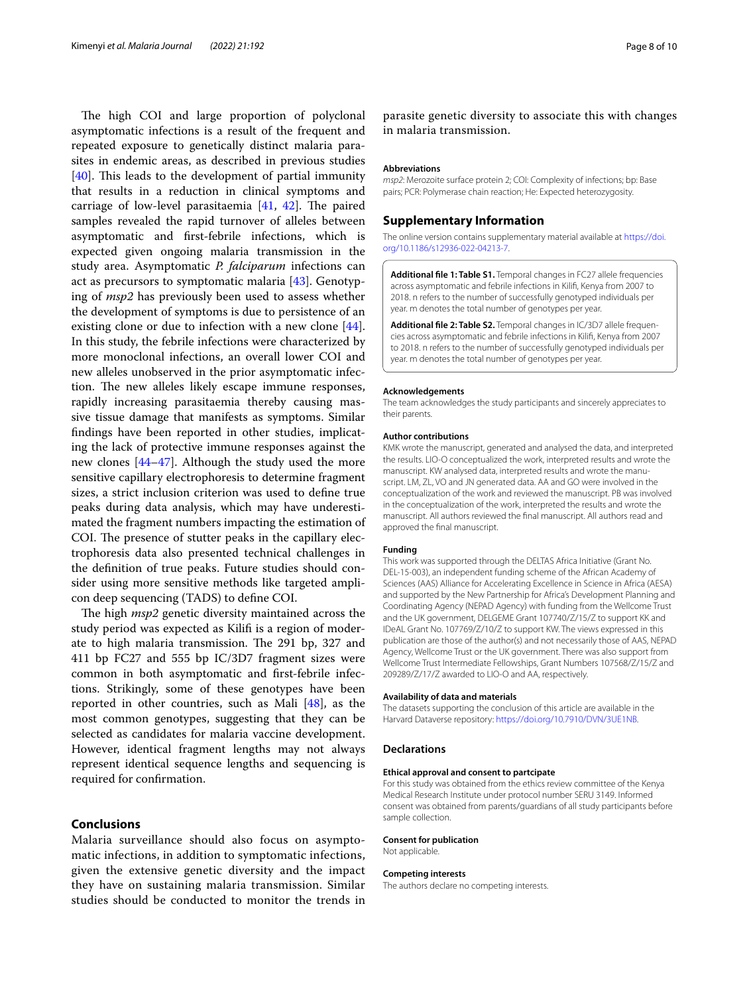The high COI and large proportion of polyclonal asymptomatic infections is a result of the frequent and repeated exposure to genetically distinct malaria parasites in endemic areas, as described in previous studies  $[40]$  $[40]$ . This leads to the development of partial immunity that results in a reduction in clinical symptoms and carriage of low-level parasitaemia  $[41, 42]$  $[41, 42]$  $[41, 42]$ . The paired samples revealed the rapid turnover of alleles between asymptomatic and frst-febrile infections, which is expected given ongoing malaria transmission in the study area. Asymptomatic *P. falciparum* infections can act as precursors to symptomatic malaria [\[43](#page-9-3)]. Genotyping of *msp2* has previously been used to assess whether the development of symptoms is due to persistence of an existing clone or due to infection with a new clone [\[44](#page-9-4)]. In this study, the febrile infections were characterized by more monoclonal infections, an overall lower COI and new alleles unobserved in the prior asymptomatic infection. The new alleles likely escape immune responses, rapidly increasing parasitaemia thereby causing massive tissue damage that manifests as symptoms. Similar fndings have been reported in other studies, implicating the lack of protective immune responses against the new clones [\[44–](#page-9-4)[47\]](#page-9-5). Although the study used the more sensitive capillary electrophoresis to determine fragment sizes, a strict inclusion criterion was used to defne true peaks during data analysis, which may have underestimated the fragment numbers impacting the estimation of COI. The presence of stutter peaks in the capillary electrophoresis data also presented technical challenges in the defnition of true peaks. Future studies should consider using more sensitive methods like targeted amplicon deep sequencing (TADS) to defne COI.

The high *msp2* genetic diversity maintained across the study period was expected as Kilif is a region of moderate to high malaria transmission. The 291 bp, 327 and 411 bp FC27 and 555 bp IC/3D7 fragment sizes were common in both asymptomatic and frst-febrile infections. Strikingly, some of these genotypes have been reported in other countries, such as Mali [[48](#page-9-6)], as the most common genotypes, suggesting that they can be selected as candidates for malaria vaccine development. However, identical fragment lengths may not always represent identical sequence lengths and sequencing is required for confrmation.

#### **Conclusions**

Malaria surveillance should also focus on asymptomatic infections, in addition to symptomatic infections, given the extensive genetic diversity and the impact they have on sustaining malaria transmission. Similar studies should be conducted to monitor the trends in

parasite genetic diversity to associate this with changes in malaria transmission.

#### **Abbreviations**

*msp2*: Merozoite surface protein 2; COI: Complexity of infections; bp: Base pairs; PCR: Polymerase chain reaction; He: Expected heterozygosity.

#### **Supplementary Information**

The online version contains supplementary material available at [https://doi.](https://doi.org/10.1186/s12936-022-04213-7) [org/10.1186/s12936-022-04213-7](https://doi.org/10.1186/s12936-022-04213-7).

<span id="page-7-0"></span>**Additional fle 1: Table S1.** Temporal changes in FC27 allele frequencies across asymptomatic and febrile infections in Kilif, Kenya from 2007 to 2018. n refers to the number of successfully genotyped individuals per year. m denotes the total number of genotypes per year.

<span id="page-7-1"></span>Additional file 2: Table S2. Temporal changes in IC/3D7 allele frequencies across asymptomatic and febrile infections in Kilif, Kenya from 2007 to 2018. n refers to the number of successfully genotyped individuals per year. m denotes the total number of genotypes per year.

#### **Acknowledgements**

The team acknowledges the study participants and sincerely appreciates to their parents.

#### **Author contributions**

KMK wrote the manuscript, generated and analysed the data, and interpreted the results. LIO-O conceptualized the work, interpreted results and wrote the manuscript. KW analysed data, interpreted results and wrote the manuscript. LM, ZL, VO and JN generated data. AA and GO were involved in the conceptualization of the work and reviewed the manuscript. PB was involved in the conceptualization of the work, interpreted the results and wrote the manuscript. All authors reviewed the fnal manuscript. All authors read and approved the fnal manuscript.

#### **Funding**

This work was supported through the DELTAS Africa Initiative (Grant No. DEL-15-003), an independent funding scheme of the African Academy of Sciences (AAS) Alliance for Accelerating Excellence in Science in Africa (AESA) and supported by the New Partnership for Africa's Development Planning and Coordinating Agency (NEPAD Agency) with funding from the Wellcome Trust and the UK government, DELGEME Grant 107740/Z/15/Z to support KK and IDeAL Grant No. 107769/Z/10/Z to support KW. The views expressed in this publication are those of the author(s) and not necessarily those of AAS, NEPAD Agency, Wellcome Trust or the UK government. There was also support from Wellcome Trust Intermediate Fellowships, Grant Numbers 107568/Z/15/Z and 209289/Z/17/Z awarded to LIO-O and AA, respectively.

#### **Availability of data and materials**

The datasets supporting the conclusion of this article are available in the Harvard Dataverse repository: [https://doi.org/10.7910/DVN/3UE1NB.](https://doi.org/10.7910/DVN/3UE1NB)

#### **Declarations**

#### **Ethical approval and consent to partcipate**

For this study was obtained from the ethics review committee of the Kenya Medical Research Institute under protocol number SERU 3149. Informed consent was obtained from parents/guardians of all study participants before sample collection.

#### **Consent for publication**

Not applicable.

#### **Competing interests**

The authors declare no competing interests.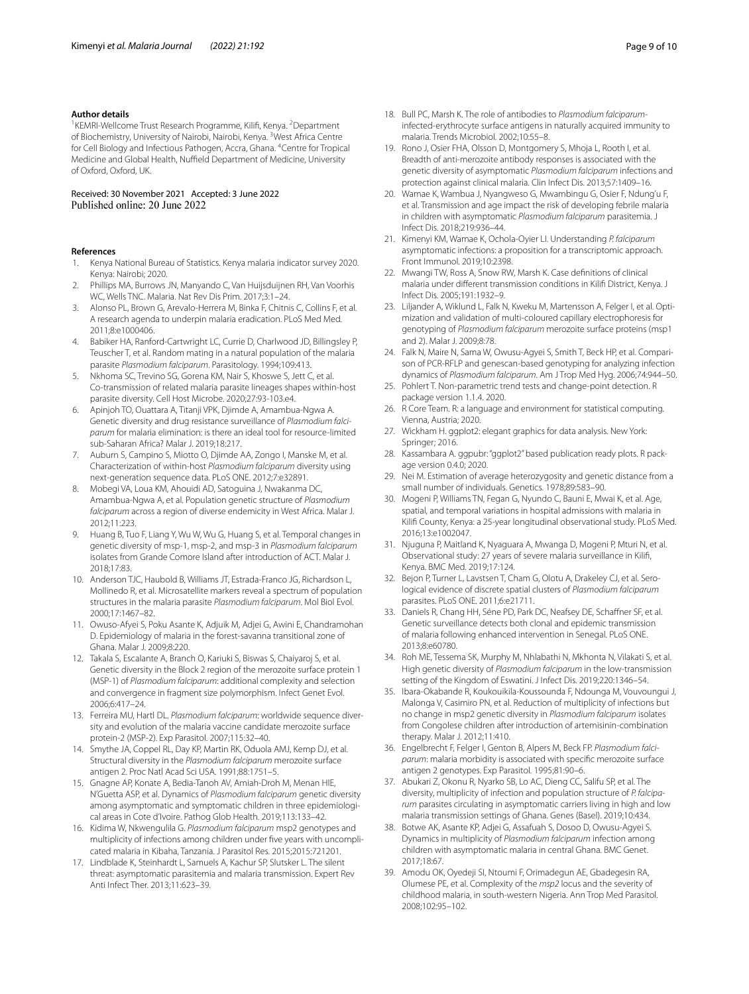#### **Author details**

<sup>1</sup> KEMRI-Wellcome Trust Research Programme, Kilifi, Kenya. <sup>2</sup> Department of Biochemistry, University of Nairobi, Nairobi, Kenya. <sup>3</sup>West Africa Centre for Cell Biology and Infectious Pathogen, Accra, Ghana. <sup>4</sup> Centre for Tropical Medicine and Global Health, Nuffield Department of Medicine, University of Oxford, Oxford, UK.

# Received: 30 November 2021 Accepted: 3 June 2022

#### **References**

- <span id="page-8-0"></span>1. Kenya National Bureau of Statistics. Kenya malaria indicator survey 2020. Kenya: Nairobi; 2020.
- <span id="page-8-1"></span>2. Phillips MA, Burrows JN, Manyando C, Van Huijsduijnen RH, Van Voorhis WC, Wells TNC. Malaria. Nat Rev Dis Prim. 2017;3:1–24.
- <span id="page-8-2"></span>3. Alonso PL, Brown G, Arevalo-Herrera M, Binka F, Chitnis C, Collins F, et al. A research agenda to underpin malaria eradication. PLoS Med Med. 2011;8:e1000406.
- <span id="page-8-3"></span>4. Babiker HA, Ranford-Cartwright LC, Currie D, Charlwood JD, Billingsley P, Teuscher T, et al. Random mating in a natural population of the malaria parasite *Plasmodium falciparum*. Parasitology. 1994;109:413.
- <span id="page-8-4"></span>5. Nkhoma SC, Trevino SG, Gorena KM, Nair S, Khoswe S, Jett C, et al. Co-transmission of related malaria parasite lineages shapes within-host parasite diversity. Cell Host Microbe. 2020;27:93-103.e4.
- <span id="page-8-5"></span>6. Apinjoh TO, Ouattara A, Titanji VPK, Djimde A, Amambua-Ngwa A. Genetic diversity and drug resistance surveillance of *Plasmodium falciparum* for malaria elimination: is there an ideal tool for resource-limited sub-Saharan Africa? Malar J. 2019;18:217.
- <span id="page-8-6"></span>7. Auburn S, Campino S, Miotto O, Djimde AA, Zongo I, Manske M, et al. Characterization of within-host *Plasmodium falciparum* diversity using next-generation sequence data. PLoS ONE. 2012;7:e32891.
- <span id="page-8-7"></span>8. Mobegi VA, Loua KM, Ahouidi AD, Satoguina J, Nwakanma DC, Amambua-Ngwa A, et al. Population genetic structure of *Plasmodium falciparum* across a region of diverse endemicity in West Africa. Malar J. 2012;11:223.
- <span id="page-8-8"></span>9. Huang B, Tuo F, Liang Y, Wu W, Wu G, Huang S, et al. Temporal changes in genetic diversity of msp-1, msp-2, and msp-3 in *Plasmodium falciparum* isolates from Grande Comore Island after introduction of ACT. Malar J. 2018;17:83.
- <span id="page-8-9"></span>10. Anderson TJC, Haubold B, Williams JT, Estrada-Franco JG, Richardson L, Mollinedo R, et al. Microsatellite markers reveal a spectrum of population structures in the malaria parasite *Plasmodium falciparum*. Mol Biol Evol. 2000;17:1467–82.
- <span id="page-8-10"></span>11. Owuso-Afyei S, Poku Asante K, Adjuik M, Adjei G, Awini E, Chandramohan D. Epidemiology of malaria in the forest-savanna transitional zone of Ghana. Malar J. 2009;8:220.
- <span id="page-8-11"></span>12. Takala S, Escalante A, Branch O, Kariuki S, Biswas S, Chaiyaroj S, et al. Genetic diversity in the Block 2 region of the merozoite surface protein 1 (MSP-1) of *Plasmodium falciparum*: additional complexity and selection and convergence in fragment size polymorphism. Infect Genet Evol. 2006;6:417–24.
- <span id="page-8-12"></span>13. Ferreira MU, Hartl DL. Plasmodium falciparum: worldwide sequence diversity and evolution of the malaria vaccine candidate merozoite surface protein-2 (MSP-2). Exp Parasitol. 2007;115:32–40.
- <span id="page-8-13"></span>14. Smythe JA, Coppel RL, Day KP, Martin RK, Oduola AMJ, Kemp DJ, et al. Structural diversity in the *Plasmodium falciparum* merozoite surface antigen 2. Proc Natl Acad Sci USA. 1991;88:1751–5.
- <span id="page-8-14"></span>15. Gnagne AP, Konate A, Bedia-Tanoh AV, Amiah-Droh M, Menan HIE, N'Guetta ASP, et al. Dynamics of *Plasmodium falciparum* genetic diversity among asymptomatic and symptomatic children in three epidemiological areas in Cote d'Ivoire. Pathog Glob Health. 2019;113:133–42.
- <span id="page-8-15"></span>16. Kidima W, Nkwengulila G. *Plasmodium falciparum* msp2 genotypes and multiplicity of infections among children under five years with uncomplicated malaria in Kibaha, Tanzania. J Parasitol Res. 2015;2015:721201.
- <span id="page-8-16"></span>17. Lindblade K, Steinhardt L, Samuels A, Kachur SP, Slutsker L. The silent threat: asymptomatic parasitemia and malaria transmission. Expert Rev Anti Infect Ther. 2013;11:623–39.
- <span id="page-8-17"></span>18. Bull PC, Marsh K. The role of antibodies to *Plasmodium falciparum*infected-erythrocyte surface antigens in naturally acquired immunity to malaria. Trends Microbiol. 2002;10:55–8.
- <span id="page-8-18"></span>19. Rono J, Osier FHA, Olsson D, Montgomery S, Mhoja L, Rooth I, et al. Breadth of anti-merozoite antibody responses is associated with the genetic diversity of asymptomatic *Plasmodium falciparum* infections and protection against clinical malaria. Clin Infect Dis. 2013;57:1409–16.
- <span id="page-8-19"></span>20. Wamae K, Wambua J, Nyangweso G, Mwambingu G, Osier F, Ndung'u F, et al. Transmission and age impact the risk of developing febrile malaria in children with asymptomatic *Plasmodium falciparum* parasitemia. J Infect Dis. 2018;219:936–44.
- <span id="page-8-20"></span>21. Kimenyi KM, Wamae K, Ochola-Oyier LI. Understanding *P. falciparum* asymptomatic infections: a proposition for a transcriptomic approach. Front Immunol. 2019;10:2398.
- <span id="page-8-21"></span>22. Mwangi TW, Ross A, Snow RW, Marsh K. Case defnitions of clinical malaria under diferent transmission conditions in Kilif District, Kenya. J Infect Dis. 2005;191:1932–9.
- <span id="page-8-22"></span>23. Liljander A, Wiklund L, Falk N, Kweku M, Martensson A, Felger I, et al. Optimization and validation of multi-coloured capillary electrophoresis for genotyping of *Plasmodium falciparum* merozoite surface proteins (msp1 and 2). Malar J. 2009;8:78.
- <span id="page-8-23"></span>24. Falk N, Maire N, Sama W, Owusu-Agyei S, Smith T, Beck HP, et al. Comparison of PCR-RFLP and genescan-based genotyping for analyzing infection dynamics of *Plasmodium falciparum*. Am J Trop Med Hyg. 2006;74:944–50.
- <span id="page-8-24"></span>25. Pohlert T. Non-parametric trend tests and change-point detection. R package version 1.1.4. 2020.
- <span id="page-8-25"></span>26. R Core Team. R: a language and environment for statistical computing. Vienna, Austria; 2020.
- <span id="page-8-26"></span>27. Wickham H. ggplot2: elegant graphics for data analysis. New York: Springer; 2016.
- <span id="page-8-27"></span>28. Kassambara A. ggpubr: "ggplot2" based publication ready plots. R package version 0.4.0; 2020.
- <span id="page-8-28"></span>29. Nei M. Estimation of average heterozygosity and genetic distance from a small number of individuals. Genetics. 1978;89:583–90.
- <span id="page-8-29"></span>30. Mogeni P, Williams TN, Fegan G, Nyundo C, Bauni E, Mwai K, et al. Age, spatial, and temporal variations in hospital admissions with malaria in Kilif County, Kenya: a 25-year longitudinal observational study. PLoS Med. 2016;13:e1002047.
- <span id="page-8-30"></span>31. Njuguna P, Maitland K, Nyaguara A, Mwanga D, Mogeni P, Mturi N, et al. Observational study: 27 years of severe malaria surveillance in Kilif, Kenya. BMC Med. 2019;17:124.
- <span id="page-8-31"></span>32. Bejon P, Turner L, Lavstsen T, Cham G, Olotu A, Drakeley CJ, et al. Serological evidence of discrete spatial clusters of *Plasmodium falciparum* parasites. PLoS ONE. 2011;6:e21711.
- <span id="page-8-32"></span>33. Daniels R, Chang HH, Séne PD, Park DC, Neafsey DE, Schafner SF, et al. Genetic surveillance detects both clonal and epidemic transmission of malaria following enhanced intervention in Senegal. PLoS ONE. 2013;8:e60780.
- <span id="page-8-33"></span>34. Roh ME, Tessema SK, Murphy M, Nhlabathi N, Mkhonta N, Vilakati S, et al. High genetic diversity of *Plasmodium falciparum* in the low-transmission setting of the Kingdom of Eswatini. J Infect Dis. 2019;220:1346–54.
- <span id="page-8-34"></span>35. Ibara-Okabande R, Koukouikila-Koussounda F, Ndounga M, Vouvoungui J, Malonga V, Casimiro PN, et al. Reduction of multiplicity of infections but no change in msp2 genetic diversity in *Plasmodium falciparum* isolates from Congolese children after introduction of artemisinin-combination therapy. Malar J. 2012;11:410.
- <span id="page-8-35"></span>36. Engelbrecht F, Felger I, Genton B, Alpers M, Beck FP. *Plasmodium falciparum*: malaria morbidity is associated with specifc merozoite surface antigen 2 genotypes. Exp Parasitol. 1995;81:90–6.
- <span id="page-8-36"></span>37. Abukari Z, Okonu R, Nyarko SB, Lo AC, Dieng CC, Salifu SP, et al. The diversity, multiplicity of infection and population structure of *P. falciparum* parasites circulating in asymptomatic carriers living in high and low malaria transmission settings of Ghana. Genes (Basel). 2019;10:434.
- <span id="page-8-37"></span>38. Botwe AK, Asante KP, Adjei G, Assafuah S, Dosoo D, Owusu-Agyei S. Dynamics in multiplicity of *Plasmodium falciparum* infection among children with asymptomatic malaria in central Ghana. BMC Genet. 2017;18:67.
- <span id="page-8-38"></span>39. Amodu OK, Oyedeji SI, Ntoumi F, Orimadegun AE, Gbadegesin RA, Olumese PE, et al. Complexity of the *msp2* locus and the severity of childhood malaria, in south-western Nigeria. Ann Trop Med Parasitol. 2008;102:95–102.